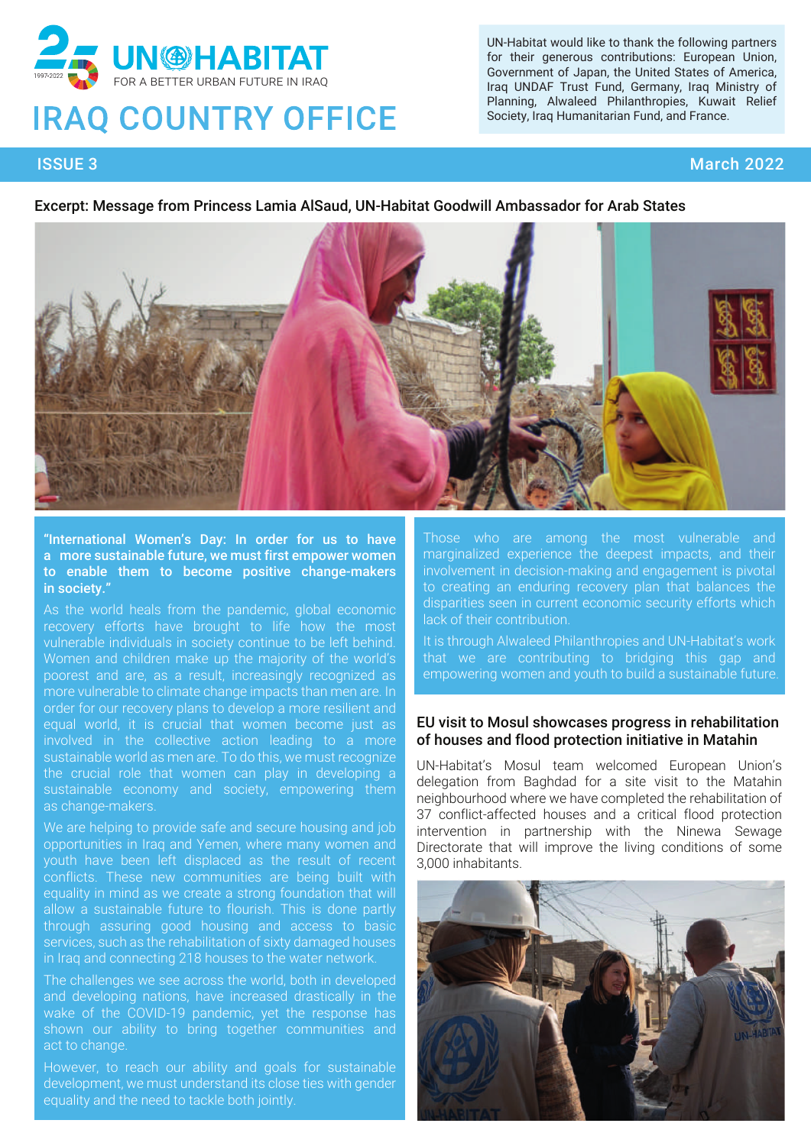

# **IRAQ COUNTRY OFFICE**

UN-Habitat would like to thank the following partners for their generous contributions: European Union, Government of Japan, the United States of America, Iraq UNDAF Trust Fund, Germany, Iraq Ministry of Planning, Alwaleed Philanthropies, Kuwait Relief Society, Iraq Humanitarian Fund, and France.

## ISSUE 3 March 2022

#### Excerpt: Message from Princess Lamia AlSaud, UN-Habitat Goodwill Ambassador for Arab States



"International Women's Day: In order for us to have a more sustainable future, we must first empower women to enable them to become positive change-makers in society.

As the world heals from the pandemic, global economic recovery efforts have brought to life how the most vulnerable individuals in society continue to be left behind. Women and children make up the majority of the world's poorest and are, as a result, increasingly recognized as more vulnerable to climate change impacts than men are. In order for our recovery plans to develop a more resilient and equal world, it is crucial that women become just as involved in the collective action leading to a more sustainable world as men are. To do this, we must recognize the crucial role that women can play in developing a sustainable economy and society, empowering them as change-makers.

We are helping to provide safe and secure housing and job opportunities in Iraq and Yemen, where many women and youth have been left displaced as the result of recent conflicts. These new communities are being built with equality in mind as we create a strong foundation that will allow a sustainable future to flourish. This is done partly through assuring good housing and access to basic services, such as the rehabilitation of sixty damaged houses in Iraq and connecting 218 houses to the water network.

The challenges we see across the world, both in developed and developing nations, have increased drastically in the wake of the COVID-19 pandemic, yet the response has shown our ability to bring together communities and act to change.

However, to reach our ability and goals for sustainable development, we must understand its close ties with gender equality and the need to tackle both jointly.

Those who are among the most vulnerable and marginalized experience the deepest impacts, and their involvement in decision-making and engagement is pivotal to creating an enduring recovery plan that balances the disparities seen in current economic security efforts which lack of their contribution.

It is through Alwaleed Philanthropies and UN-Habitat's work that we are contributing to bridging this gap and empowering women and youth to build a sustainable future.

#### EU visit to Mosul showcases progress in rehabilitation of houses and flood protection initiative in Matahin

UN-Habitat's Mosul team welcomed European Union's delegation from Baghdad for a site visit to the Matahin neighbourhood where we have completed the rehabilitation of 37 conflict-affected houses and a critical flood protection intervention in partnership with the Ninewa Sewage Directorate that will improve the living conditions of some 3,000 inhabitants.